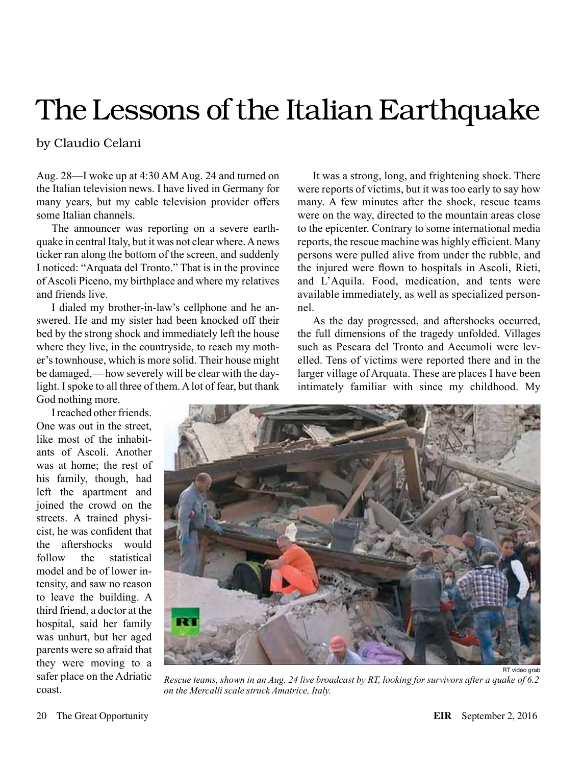## The Lessons of the Italian Earthquake

## by Claudio Celani

Aug. 28—I woke up at 4:30 AM Aug. 24 and turned on the Italian television news. I have lived in Germany for many years, but my cable television provider offers some Italian channels.

The announcer was reporting on a severe earthquake in central Italy, but it was not clear where. A news ticker ran along the bottom of the screen, and suddenly I noticed: "Arquata del Tronto." That is in the province of Ascoli Piceno, my birthplace and where my relatives and friends live.

I dialed my brother-in-law's cellphone and he answered. He and my sister had been knocked off their bed by the strong shock and immediately left the house where they live, in the countryside, to reach my mother's townhouse, which is more solid. Their house might be damaged,— how severely will be clear with the daylight. I spoke to all three of them. A lot of fear, but thank God nothing more.

It was a strong, long, and frightening shock. There were reports of victims, but it was too early to say how many. A few minutes after the shock, rescue teams were on the way, directed to the mountain areas close to the epicenter. Contrary to some international media reports, the rescue machine was highly efficient. Many persons were pulled alive from under the rubble, and the injured were flown to hospitals in Ascoli, Rieti, and L'Aquila. Food, medication, and tents were available immediately, as well as specialized personnel.

As the day progressed, and aftershocks occurred, the full dimensions of the tragedy unfolded. Villages such as Pescara del Tronto and Accumoli were levelled. Tens of victims were reported there and in the larger village of Arquata. These are places I have been intimately familiar with since my childhood. My

I reached other friends. One was out in the street, like most of the inhabitants of Ascoli. Another was at home; the rest of his family, though, had left the apartment and joined the crowd on the streets. A trained physicist, he was confident that the aftershocks would follow the statistical model and be of lower intensity, and saw no reason to leave the building. A third friend, a doctor at the hospital, said her family was unhurt, but her aged parents were so afraid that they were moving to a safer place on the Adriatic coast.



*Rescue teams, shown in an Aug. 24 live broadcast by RT, looking for survivors after a quake of 6.2 on the Mercalli scale struck Amatrice, Italy.*

RT video grab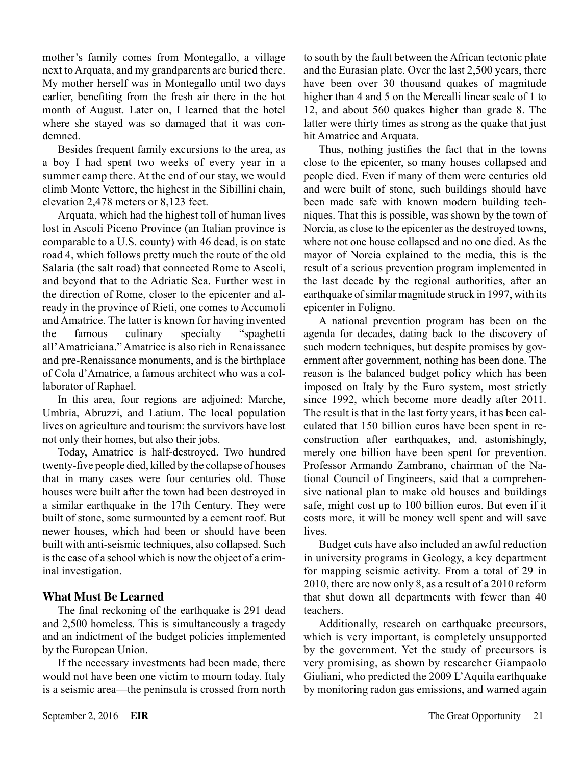mother's family comes from Montegallo, a village next to Arquata, and my grandparents are buried there. My mother herself was in Montegallo until two days earlier, benefiting from the fresh air there in the hot month of August. Later on, I learned that the hotel where she stayed was so damaged that it was condemned.

Besides frequent family excursions to the area, as a boy I had spent two weeks of every year in a summer camp there. At the end of our stay, we would climb Monte Vettore, the highest in the Sibillini chain, elevation 2,478 meters or 8,123 feet.

Arquata, which had the highest toll of human lives lost in Ascoli Piceno Province (an Italian province is comparable to a U.S. county) with 46 dead, is on state road 4, which follows pretty much the route of the old Salaria (the salt road) that connected Rome to Ascoli, and beyond that to the Adriatic Sea. Further west in the direction of Rome, closer to the epicenter and already in the province of Rieti, one comes to Accumoli and Amatrice. The latter is known for having invented the famous culinary specialty "spaghetti all'Amatriciana." Amatrice is also rich in Renaissance and pre-Renaissance monuments, and is the birthplace of Cola d'Amatrice, a famous architect who was a collaborator of Raphael.

In this area, four regions are adjoined: Marche, Umbria, Abruzzi, and Latium. The local population lives on agriculture and tourism: the survivors have lost not only their homes, but also their jobs.

Today, Amatrice is half-destroyed. Two hundred twenty-five people died, killed by the collapse of houses that in many cases were four centuries old. Those houses were built after the town had been destroyed in a similar earthquake in the 17th Century. They were built of stone, some surmounted by a cement roof. But newer houses, which had been or should have been built with anti-seismic techniques, also collapsed. Such is the case of a school which is now the object of a criminal investigation.

## **What Must Be Learned**

The final reckoning of the earthquake is 291 dead and 2,500 homeless. This is simultaneously a tragedy and an indictment of the budget policies implemented by the European Union.

If the necessary investments had been made, there would not have been one victim to mourn today. Italy is a seismic area—the peninsula is crossed from north to south by the fault between the African tectonic plate and the Eurasian plate. Over the last 2,500 years, there have been over 30 thousand quakes of magnitude higher than 4 and 5 on the Mercalli linear scale of 1 to 12, and about 560 quakes higher than grade 8. The latter were thirty times as strong as the quake that just hit Amatrice and Arquata.

Thus, nothing justifies the fact that in the towns close to the epicenter, so many houses collapsed and people died. Even if many of them were centuries old and were built of stone, such buildings should have been made safe with known modern building techniques. That this is possible, was shown by the town of Norcia, as close to the epicenter as the destroyed towns, where not one house collapsed and no one died. As the mayor of Norcia explained to the media, this is the result of a serious prevention program implemented in the last decade by the regional authorities, after an earthquake of similar magnitude struck in 1997, with its epicenter in Foligno.

A national prevention program has been on the agenda for decades, dating back to the discovery of such modern techniques, but despite promises by government after government, nothing has been done. The reason is the balanced budget policy which has been imposed on Italy by the Euro system, most strictly since 1992, which become more deadly after 2011. The result is that in the last forty years, it has been calculated that 150 billion euros have been spent in reconstruction after earthquakes, and, astonishingly, merely one billion have been spent for prevention. Professor Armando Zambrano, chairman of the National Council of Engineers, said that a comprehensive national plan to make old houses and buildings safe, might cost up to 100 billion euros. But even if it costs more, it will be money well spent and will save lives.

Budget cuts have also included an awful reduction in university programs in Geology, a key department for mapping seismic activity. From a total of 29 in 2010, there are now only 8, as a result of a 2010 reform that shut down all departments with fewer than 40 teachers.

Additionally, research on earthquake precursors, which is very important, is completely unsupported by the government. Yet the study of precursors is very promising, as shown by researcher Giampaolo Giuliani, who predicted the 2009 L'Aquila earthquake by monitoring radon gas emissions, and warned again